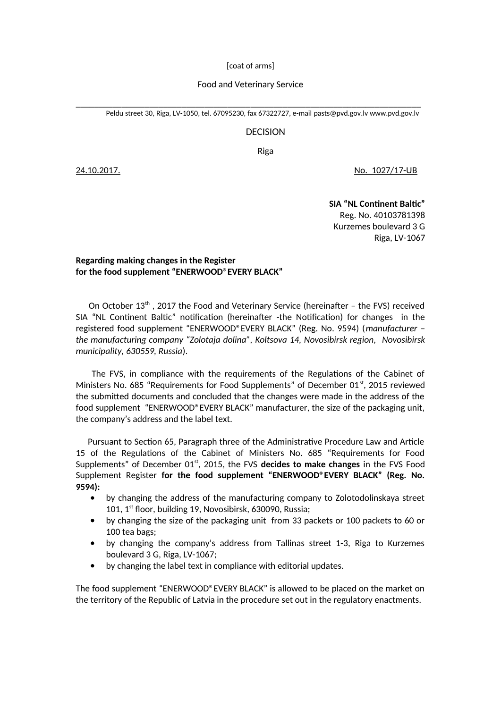[coat of arms]

## Food and Veterinary Service

\_\_\_\_\_\_\_\_\_\_\_\_\_\_\_\_\_\_\_\_\_\_\_\_\_\_\_\_\_\_\_\_\_\_\_\_\_\_\_\_\_\_\_\_\_\_\_\_\_\_\_\_\_\_\_\_\_\_\_\_\_\_\_\_\_\_\_\_\_\_\_\_\_\_\_ Peldu street 30, Riga, LV-1050, tel. 67095230, fax 67322727, e-mail [pasts@pvd.gov](mailto:pasts@pvd.gov).lv [www.pvd.gov.lv](http://www.pvd.gov.lv/)

## DECISION

Riga

24.10.2017. No. 1027/17-UB

**SIA "NL Continent Baltic"** Reg. No. 40103781398 Kurzemes boulevard 3 G Riga, LV-1067

## **Regarding making changes in the Register for the food supplement "ENERWOOD®EVERY BLACK"**

On October  $13<sup>th</sup>$ , 2017 the Food and Veterinary Service (hereinafter – the FVS) received SIA "NL Continent Baltic" notification (hereinafter -the Notification) for changes in the registered food supplement "ENERWOOD®EVERY BLACK" (Reg. No. 9594) (*manufacturer – the manufacturing company "Zolotaja dolina", Koltsova 14, Novosibirsk region, Novosibirsk municipality, 630559, Russia*).

 The FVS, in compliance with the requirements of the Regulations of the Cabinet of Ministers No. 685 "Requirements for Food Supplements" of December 01<sup>st</sup>, 2015 reviewed the submitted documents and concluded that the changes were made in the address of the food supplement "ENERWOOD®EVERY BLACK" manufacturer, the size of the packaging unit, the company's address and the label text.

 Pursuant to Section 65, Paragraph three of the Administrative Procedure Law and Article 15 of the Regulations of the Cabinet of Ministers No. 685 "Requirements for Food Supplements" of December 01<sup>st</sup>, 2015, the FVS decides to make changes in the FVS Food Supplement Register **for the food supplement "ENERWOOD®EVERY BLACK" (Reg. No. 9594):**

- by changing the address of the manufacturing company to Zolotodolinskaya street 101, 1st floor, building 19, Novosibirsk, 630090, Russia;
- by changing the size of the packaging unit from 33 packets or 100 packets to 60 or 100 tea bags;
- by changing the company's address from Tallinas street 1-3, Riga to Kurzemes boulevard 3 G, Riga, LV-1067;
- by changing the label text in compliance with editorial updates.

The food supplement "ENERWOOD®EVERY BLACK" is allowed to be placed on the market on the territory of the Republic of Latvia in the procedure set out in the regulatory enactments.